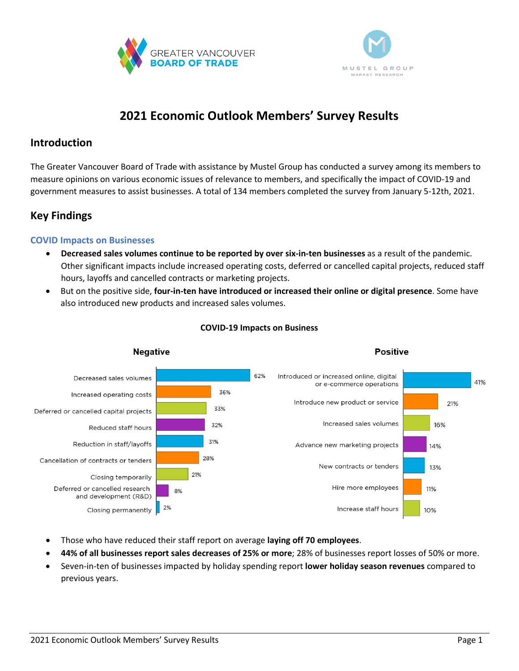



# **2021 Economic Outlook Members' Survey Results**

## **Introduction**

The Greater Vancouver Board of Trade with assistance by Mustel Group has conducted a survey among its members to measure opinions on various economic issues of relevance to members, and specifically the impact of COVID-19 and government measures to assist businesses. A total of 134 members completed the survey from January 5-12th, 2021.

# **Key Findings**

## **COVID Impacts on Businesses**

- **Decreased sales volumes continue to be reported by over six-in-ten businesses** as a result of the pandemic. Other significant impacts include increased operating costs, deferred or cancelled capital projects, reduced staff hours, layoffs and cancelled contracts or marketing projects.
- But on the positive side, **four-in-ten have introduced or increased their online or digital presence**. Some have also introduced new products and increased sales volumes.



## **COVID-19 Impacts on Business**

- Those who have reduced their staff report on average **laying off 70 employees**.
- **44% of all businesses report sales decreases of 25% or more**; 28% of businesses report losses of 50% or more.
- Seven-in-ten of businesses impacted by holiday spending report **lower holiday season revenues** compared to previous years.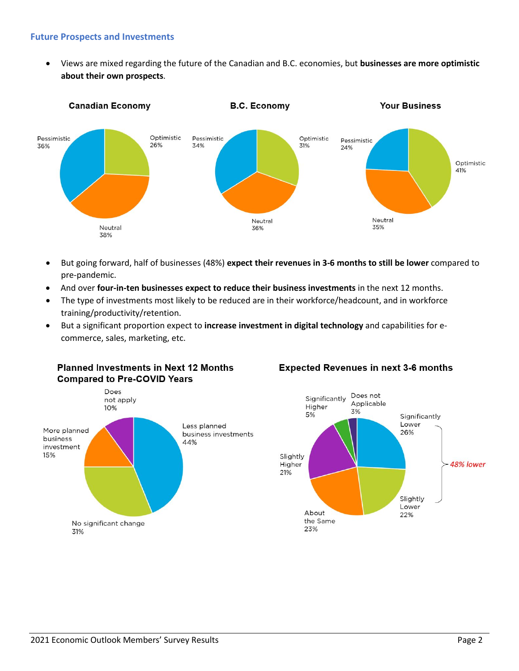## **Future Prospects and Investments**

• Views are mixed regarding the future of the Canadian and B.C. economies, but **businesses are more optimistic about their own prospects**.



- But going forward, half of businesses (48%) **expect their revenues in 3-6 months to still be lower** compared to pre-pandemic.
- And over **four-in-ten businesses expect to reduce their business investments** in the next 12 months.
- The type of investments most likely to be reduced are in their workforce/headcount, and in workforce training/productivity/retention.
- But a significant proportion expect to **increase investment in digital technology** and capabilities for ecommerce, sales, marketing, etc.



## **Expected Revenues in next 3-6 months**

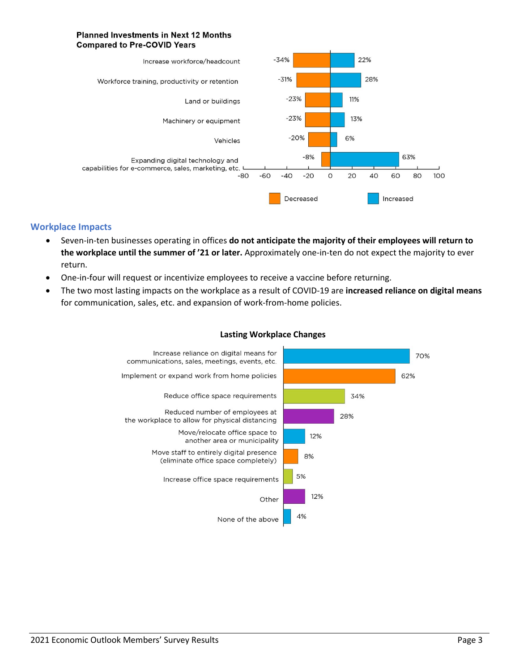#### **Planned Investments in Next 12 Months Compared to Pre-COVID Years**



## **Workplace Impacts**

- Seven-in-ten businesses operating in offices **do not anticipate the majority of their employees will return to the workplace until the summer of '21 or later.** Approximately one-in-ten do not expect the majority to ever return.
- One-in-four will request or incentivize employees to receive a vaccine before returning.
- The two most lasting impacts on the workplace as a result of COVID-19 are **increased reliance on digital means** for communication, sales, etc. and expansion of work-from-home policies.



#### **Lasting Workplace Changes**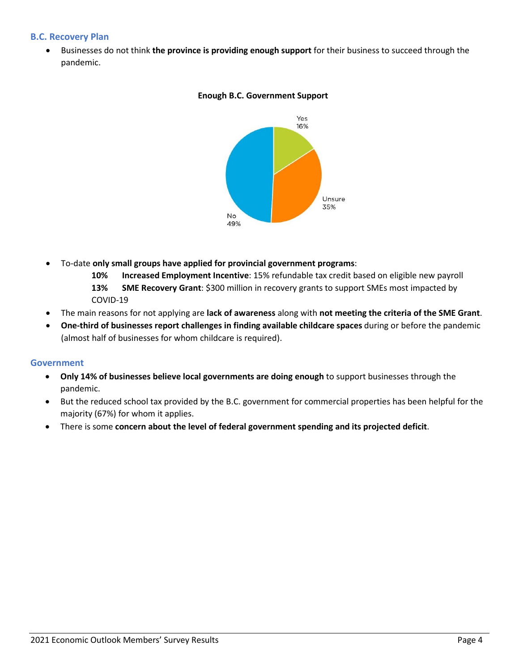## **B.C. Recovery Plan**

• Businesses do not think **the province is providing enough support** for their business to succeed through the pandemic.



## **Enough B.C. Government Support**

- To-date **only small groups have applied for provincial government programs**:
	- **10% Increased Employment Incentive**: 15% refundable tax credit based on eligible new payroll **13% SME Recovery Grant**: \$300 million in recovery grants to support SMEs most impacted by COVID-19
- The main reasons for not applying are **lack of awareness** along with **not meeting the criteria of the SME Grant**.
- **One-third of businesses report challenges in finding available childcare spaces** during or before the pandemic (almost half of businesses for whom childcare is required).

## **Government**

- **Only 14% of businesses believe local governments are doing enough** to support businesses through the pandemic.
- But the reduced school tax provided by the B.C. government for commercial properties has been helpful for the majority (67%) for whom it applies.
- There is some **concern about the level of federal government spending and its projected deficit**.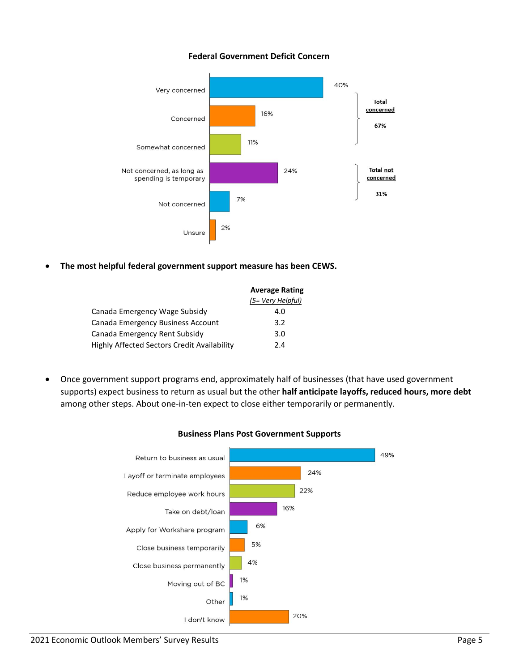## **Federal Government Deficit Concern**



• **The most helpful federal government support measure has been CEWS.**

|                                             | <b>Average Rating</b> |
|---------------------------------------------|-----------------------|
|                                             | (5= Very Helpful)     |
| Canada Emergency Wage Subsidy               | 4.0                   |
| Canada Emergency Business Account           | 3.2                   |
| Canada Emergency Rent Subsidy               | 3.0                   |
| Highly Affected Sectors Credit Availability | 2.4                   |
|                                             |                       |

• Once government support programs end, approximately half of businesses (that have used government supports) expect business to return as usual but the other **half anticipate layoffs, reduced hours, more debt** among other steps. About one-in-ten expect to close either temporarily or permanently.



#### **Business Plans Post Government Supports**